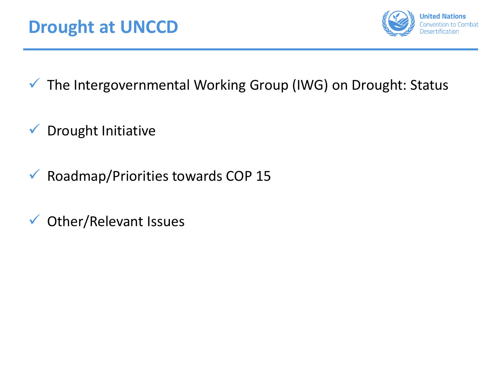

- ✓ The Intergovernmental Working Group (IWG) on Drought: Status
- ✓ Drought Initiative
- $\checkmark$  Roadmap/Priorities towards COP 15
- ✓ Other/Relevant Issues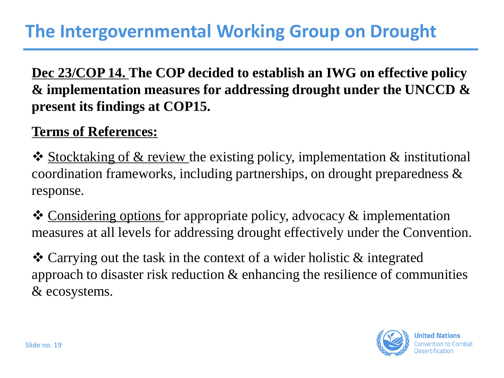## **The Intergovernmental Working Group on Drought**

## **Dec 23/COP 14. The COP decided to establish an IWG on effective policy & implementation measures for addressing drought under the UNCCD & present its findings at COP15.**

## **Terms of References:**

❖ Stocktaking of & review the existing policy, implementation & institutional coordination frameworks, including partnerships, on drought preparedness & response.

❖ Considering options for appropriate policy, advocacy & implementation measures at all levels for addressing drought effectively under the Convention.

❖ Carrying out the task in the context of a wider holistic & integrated approach to disaster risk reduction & enhancing the resilience of communities & ecosystems.

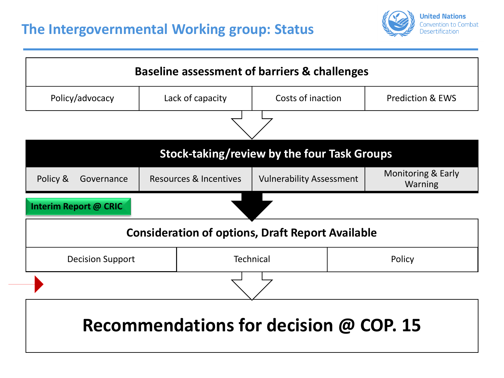

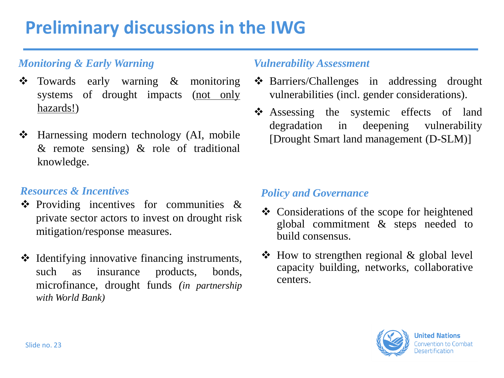# **Preliminary discussions in the IWG**

### *Monitoring & Early Warning*

- ❖ Towards early warning & monitoring systems of drought impacts (not only hazards!)
- ❖ Harnessing modern technology (AI, mobile & remote sensing) & role of traditional knowledge.

#### *Resources & Incentives*

- ❖ Providing incentives for communities & private sector actors to invest on drought risk mitigation/response measures.
- ❖ Identifying innovative financing instruments, such as insurance products, bonds, microfinance, drought funds *(in partnership with World Bank)*

#### *Vulnerability Assessment*

- ❖ Barriers/Challenges in addressing drought vulnerabilities (incl. gender considerations).
- ❖ Assessing the systemic effects of land degradation in deepening vulnerability [Drought Smart land management (D-SLM)]

#### *Policy and Governance*

- ❖ Considerations of the scope for heightened global commitment & steps needed to build consensus.
- ❖ How to strengthen regional & global level capacity building, networks, collaborative centers.

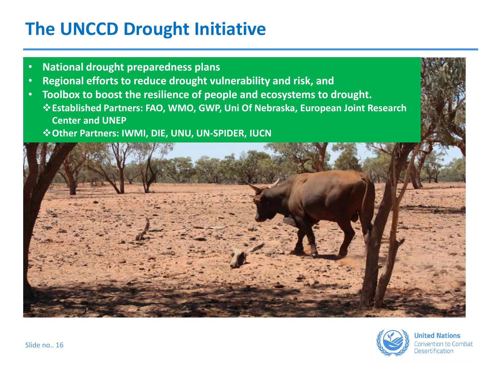# **The UNCCD Drought Initiative**

- **National drought preparedness plans**
- **Regional efforts to reduce drought vulnerability and risk, and**
- **Toolbox to boost the resilience of people and ecosystems to drought.** ❖**Established Partners: FAO, WMO, GWP, Uni Of Nebraska, European Joint Research Center and UNEP**
	- ❖**Other Partners: IWMI, DIE, UNU, UN-SPIDER, IUCN**





**United Nations** Convention to Combat **Desertification**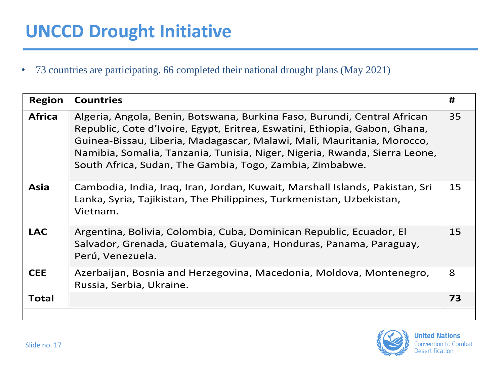• 73 countries are participating. 66 completed their national drought plans (May 2021)

| <b>Africa</b><br>35<br>Algeria, Angola, Benin, Botswana, Burkina Faso, Burundi, Central African<br>Republic, Cote d'Ivoire, Egypt, Eritrea, Eswatini, Ethiopia, Gabon, Ghana,<br>Guinea-Bissau, Liberia, Madagascar, Malawi, Mali, Mauritania, Morocco,<br>Namibia, Somalia, Tanzania, Tunisia, Niger, Nigeria, Rwanda, Sierra Leone,<br>South Africa, Sudan, The Gambia, Togo, Zambia, Zimbabwe.<br>15<br>Asia<br>Cambodia, India, Iraq, Iran, Jordan, Kuwait, Marshall Islands, Pakistan, Sri<br>Lanka, Syria, Tajikistan, The Philippines, Turkmenistan, Uzbekistan,<br>Vietnam.<br><b>LAC</b><br>Argentina, Bolivia, Colombia, Cuba, Dominican Republic, Ecuador, El<br>15<br>Salvador, Grenada, Guatemala, Guyana, Honduras, Panama, Paraguay,<br>Perú, Venezuela.<br>8<br><b>CEE</b><br>Azerbaijan, Bosnia and Herzegovina, Macedonia, Moldova, Montenegro,<br>Russia, Serbia, Ukraine. | <b>Region</b> | <b>Countries</b> | # |
|-----------------------------------------------------------------------------------------------------------------------------------------------------------------------------------------------------------------------------------------------------------------------------------------------------------------------------------------------------------------------------------------------------------------------------------------------------------------------------------------------------------------------------------------------------------------------------------------------------------------------------------------------------------------------------------------------------------------------------------------------------------------------------------------------------------------------------------------------------------------------------------------------|---------------|------------------|---|
|                                                                                                                                                                                                                                                                                                                                                                                                                                                                                                                                                                                                                                                                                                                                                                                                                                                                                               |               |                  |   |
|                                                                                                                                                                                                                                                                                                                                                                                                                                                                                                                                                                                                                                                                                                                                                                                                                                                                                               |               |                  |   |
|                                                                                                                                                                                                                                                                                                                                                                                                                                                                                                                                                                                                                                                                                                                                                                                                                                                                                               |               |                  |   |
|                                                                                                                                                                                                                                                                                                                                                                                                                                                                                                                                                                                                                                                                                                                                                                                                                                                                                               |               |                  |   |
| Total<br>73                                                                                                                                                                                                                                                                                                                                                                                                                                                                                                                                                                                                                                                                                                                                                                                                                                                                                   |               |                  |   |

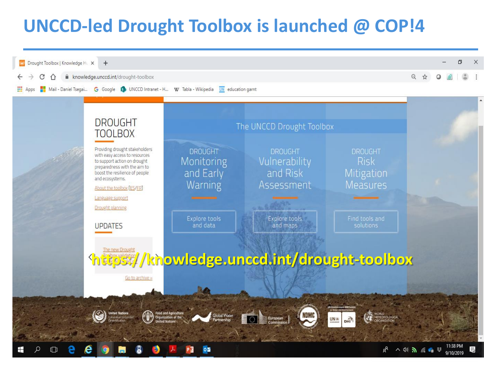# **UNCCD-led Drought Toolbox is launched @ COP!4**

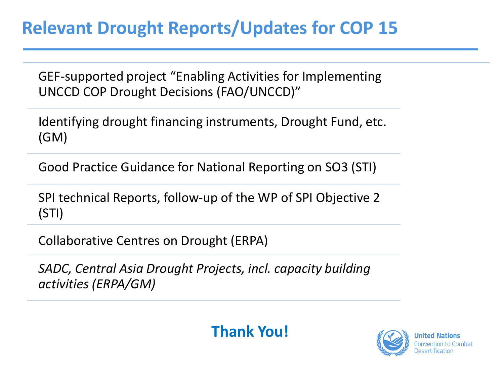GEF-supported project "Enabling Activities for Implementing UNCCD COP Drought Decisions (FAO/UNCCD)"

Identifying drought financing instruments, Drought Fund, etc. (GM)

Good Practice Guidance for National Reporting on SO3 (STI)

SPI technical Reports, follow-up of the WP of SPI Objective 2 (STI)

Collaborative Centres on Drought (ERPA)

*SADC, Central Asia Drought Projects, incl. capacity building activities (ERPA/GM)*